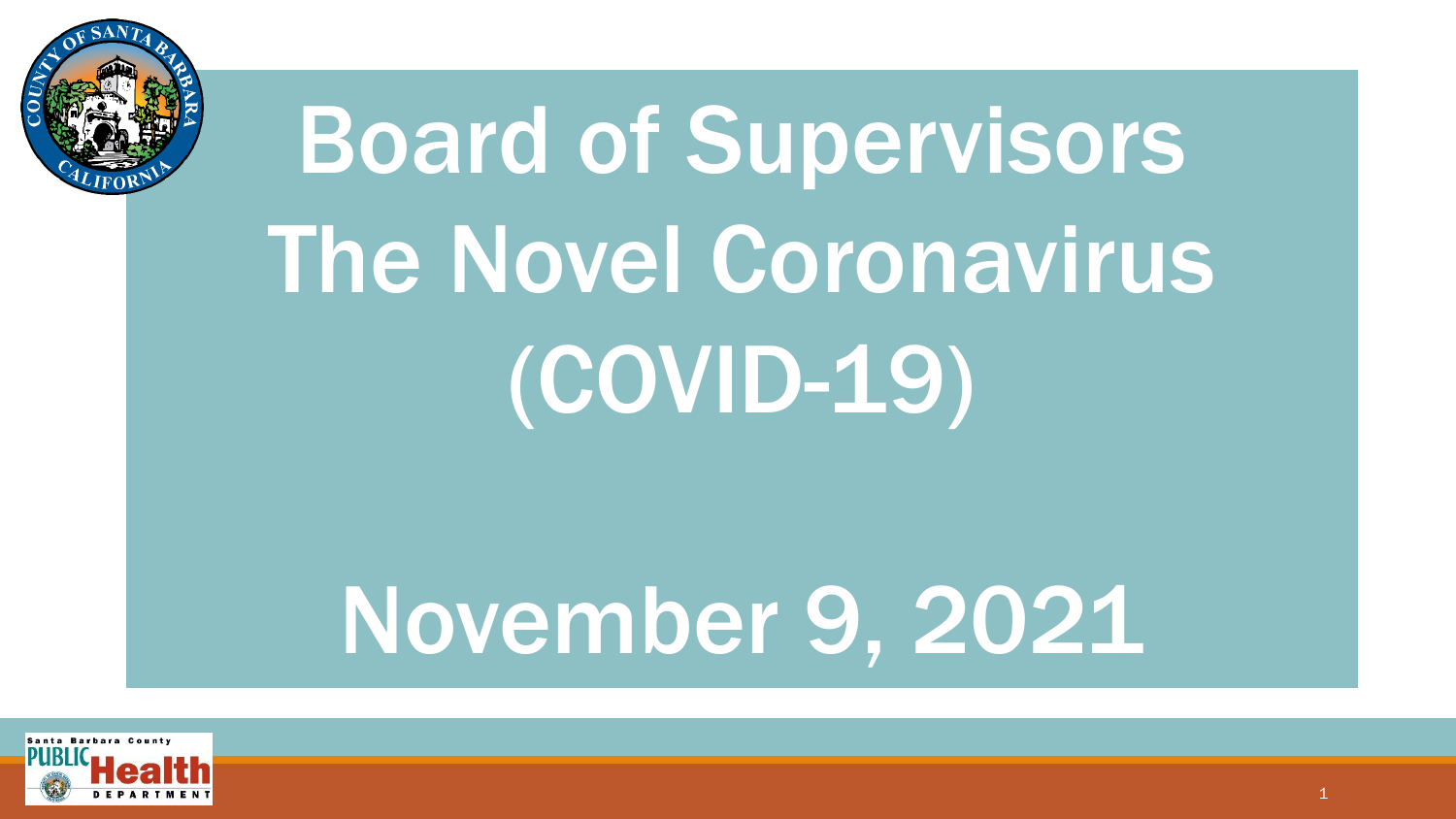

# Board of Supervisors The Novel Coronavirus (COVID-19)

## November 9, 2021

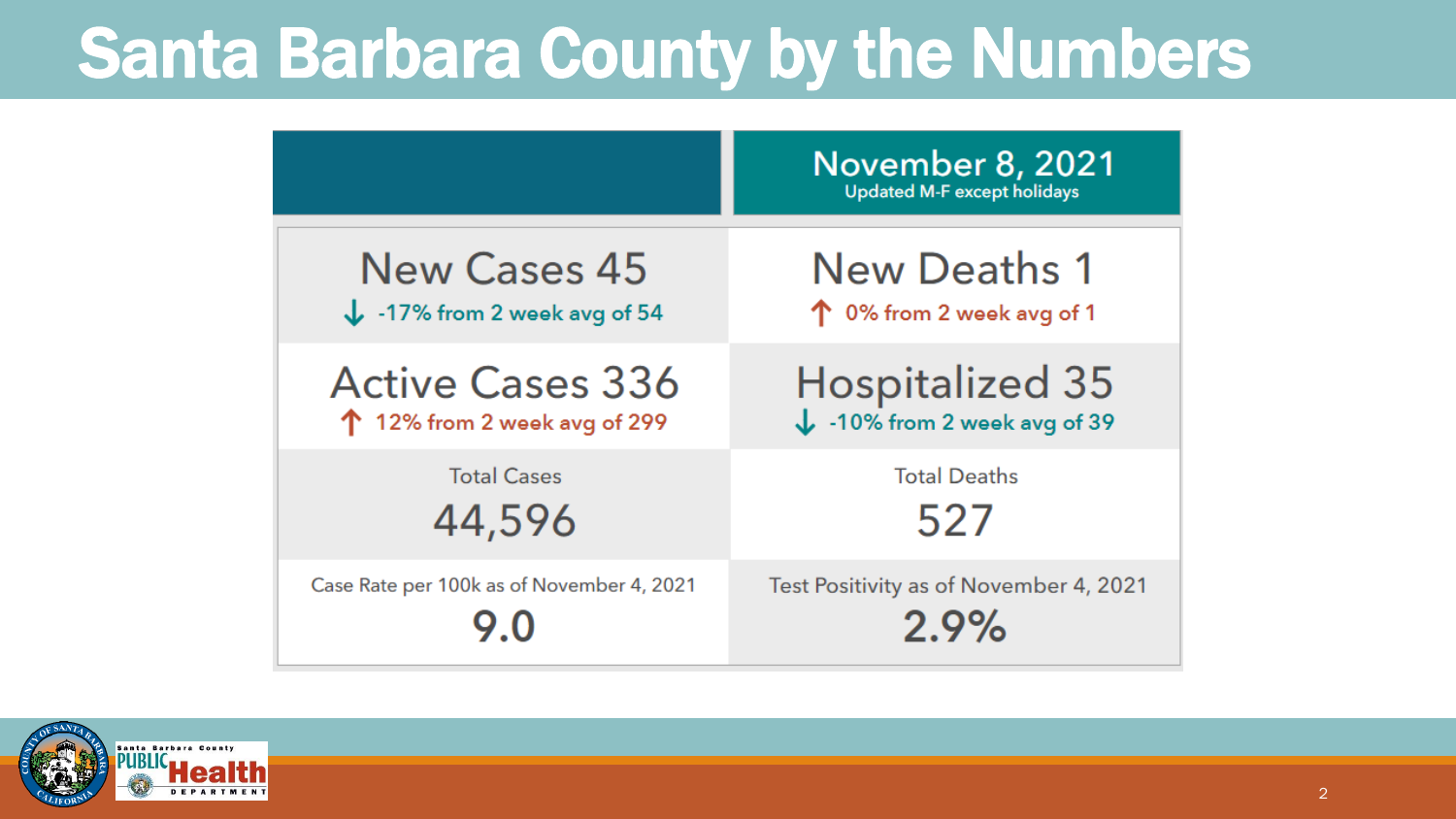### Santa Barbara County by the Numbers

|                                           | <b>November 8, 2021</b><br><b>Updated M-F except holidays</b> |
|-------------------------------------------|---------------------------------------------------------------|
| <b>New Cases 45</b>                       | New Deaths 1                                                  |
| $\downarrow$ -17% from 2 week avg of 54   | 个 0% from 2 week avg of 1                                     |
| <b>Active Cases 336</b>                   | <b>Hospitalized 35</b>                                        |
| $\uparrow$ 12% from 2 week avg of 299     | $\downarrow$ -10% from 2 week avg of 39                       |
| <b>Total Cases</b>                        | <b>Total Deaths</b>                                           |
| 44,596                                    | 527                                                           |
| Case Rate per 100k as of November 4, 2021 | Test Positivity as of November 4, 2021<br>2.9%                |

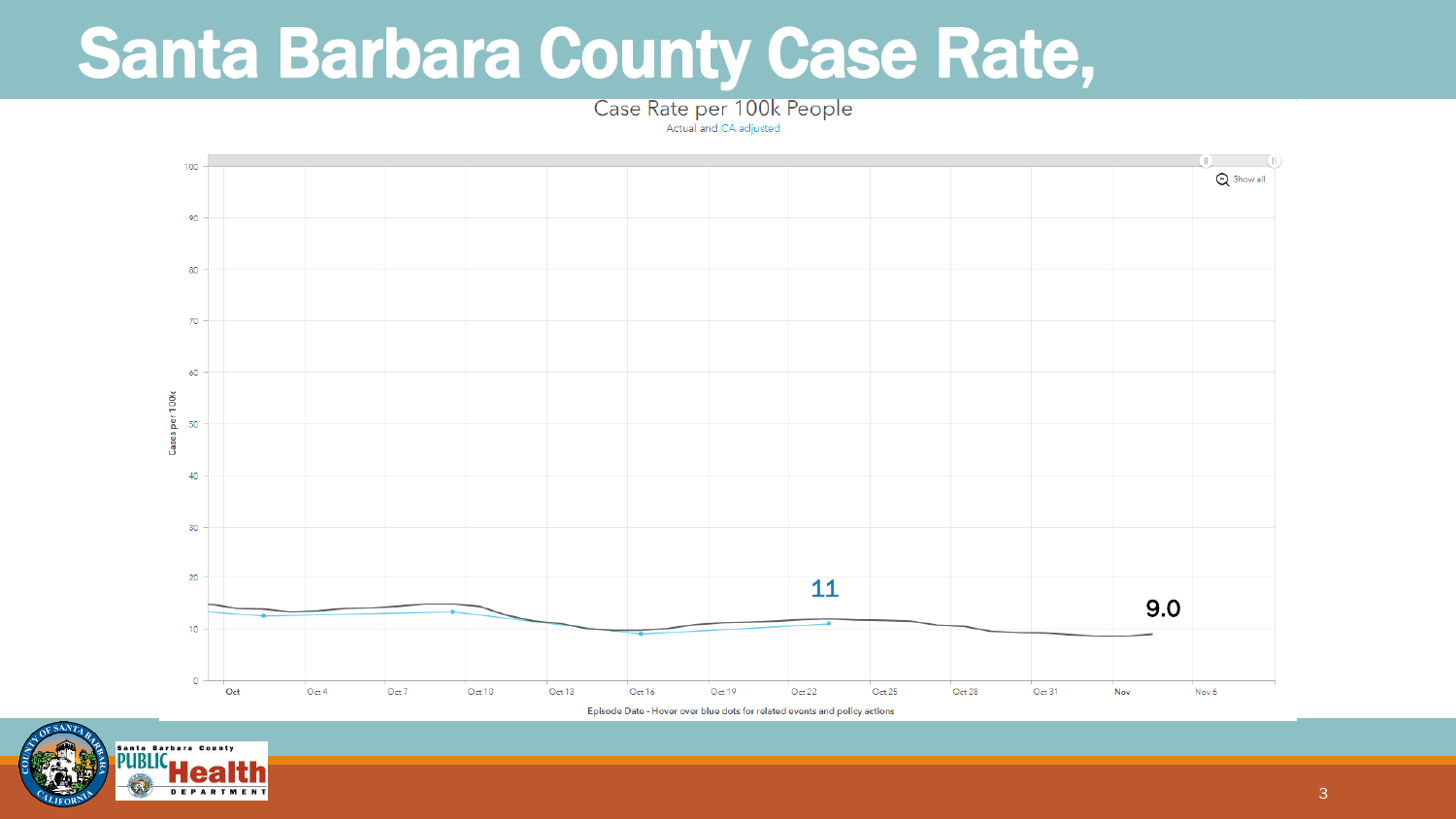#### Santa Barbara County Case Rate,

Case Rate per 100k People

Actual and CA adjusted



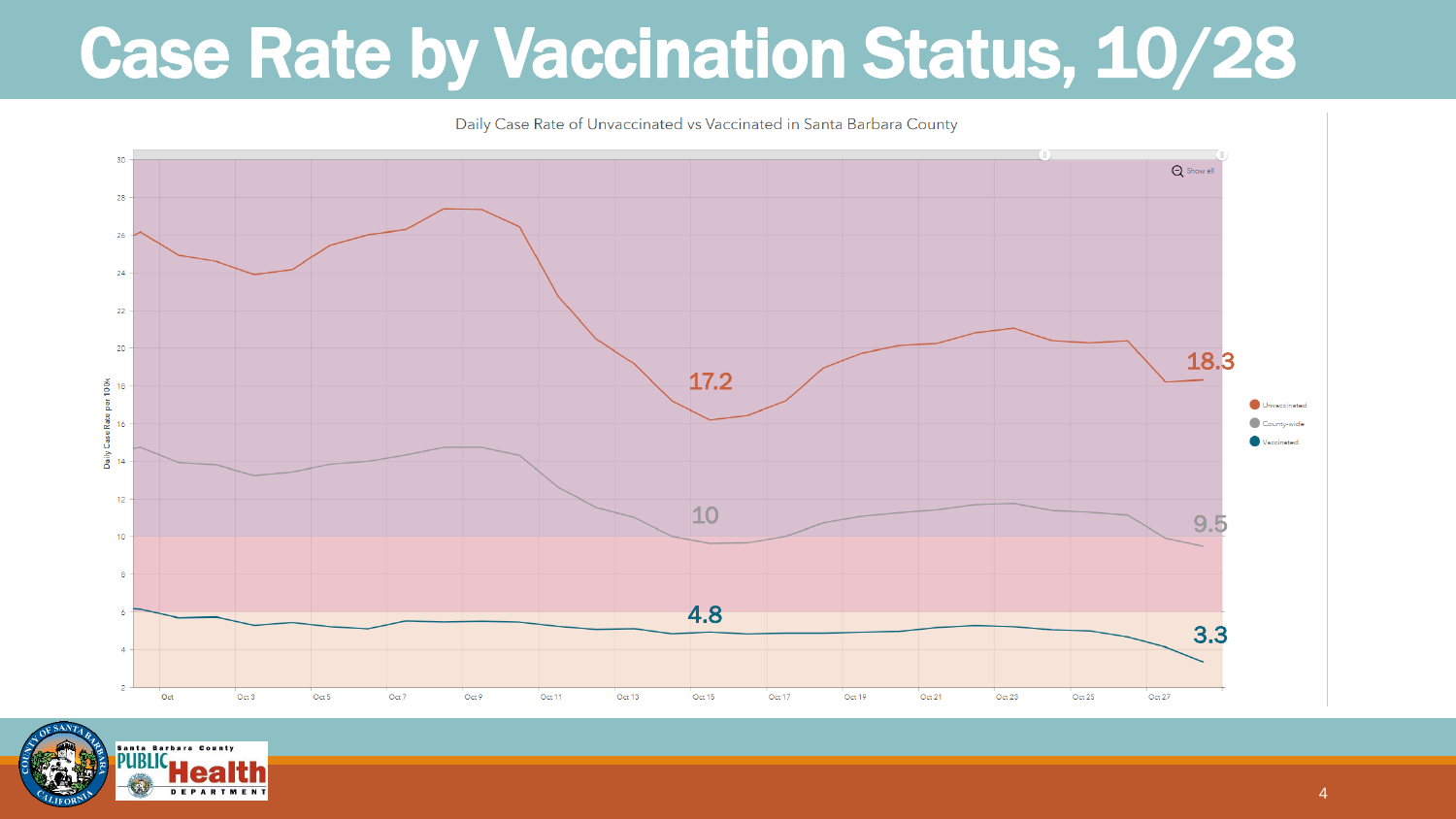#### Case Rate by Vaccination Status, 10/28



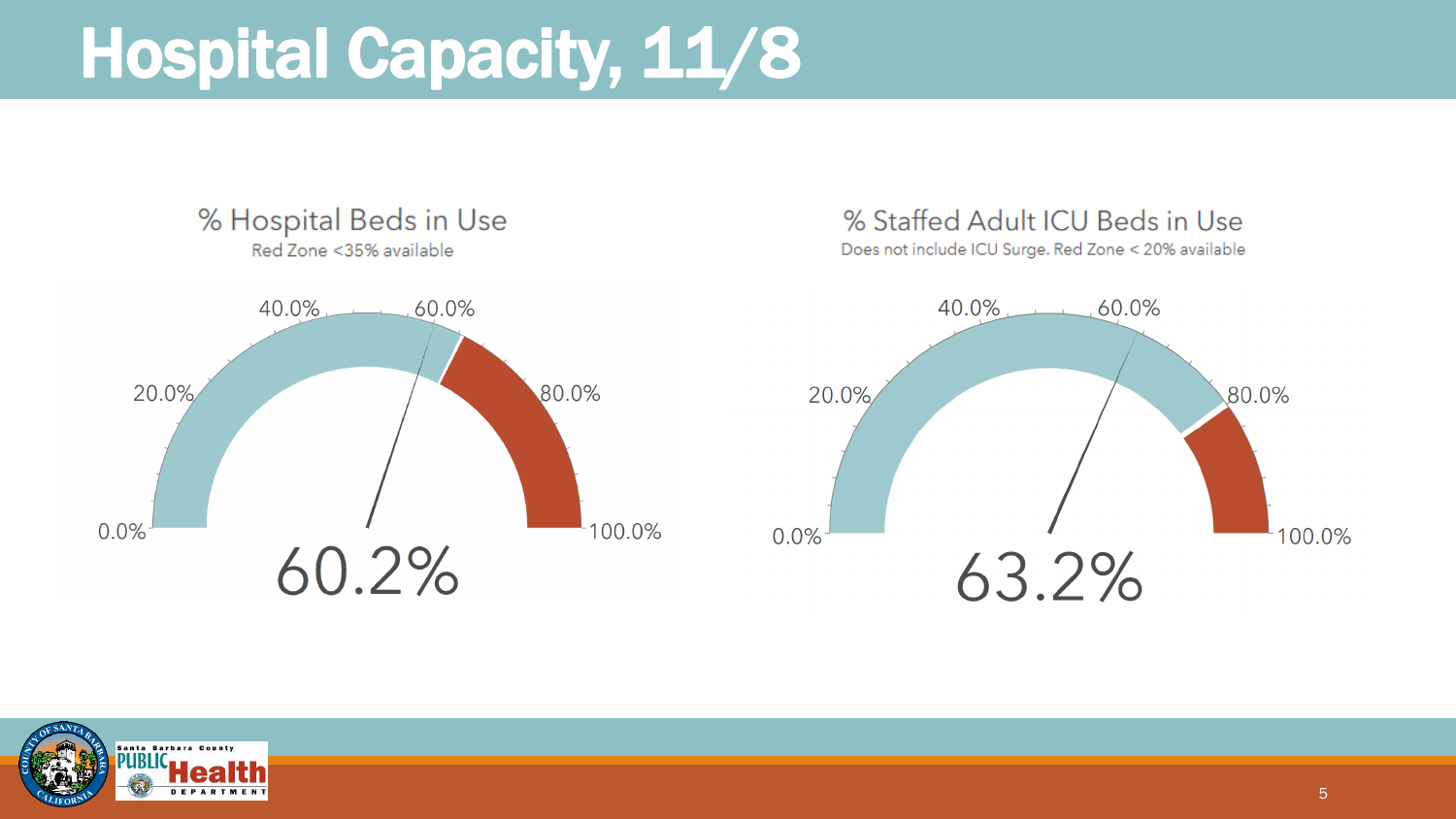#### Hospital Capacity, 11/8



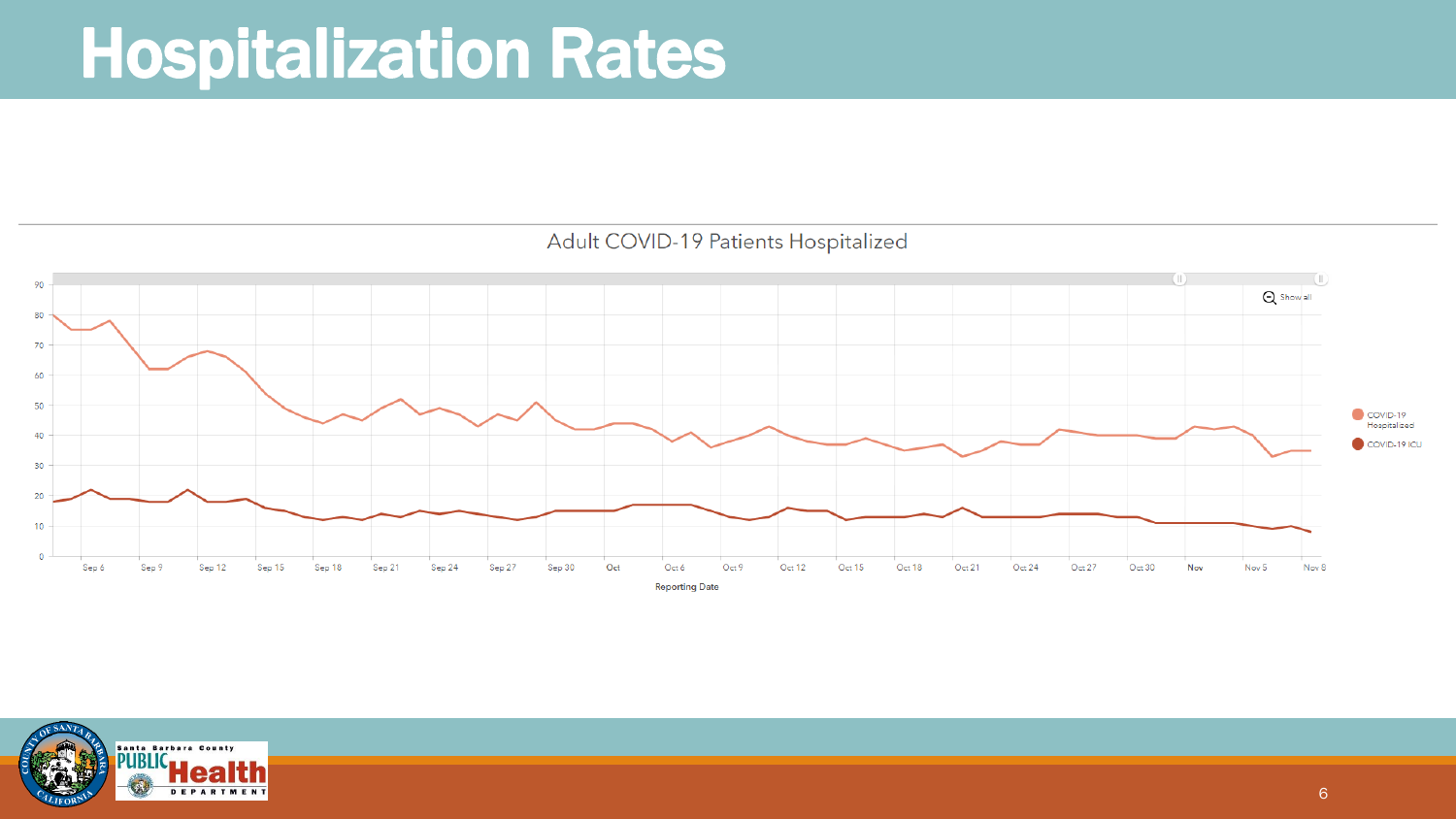#### Hospitalization Rates



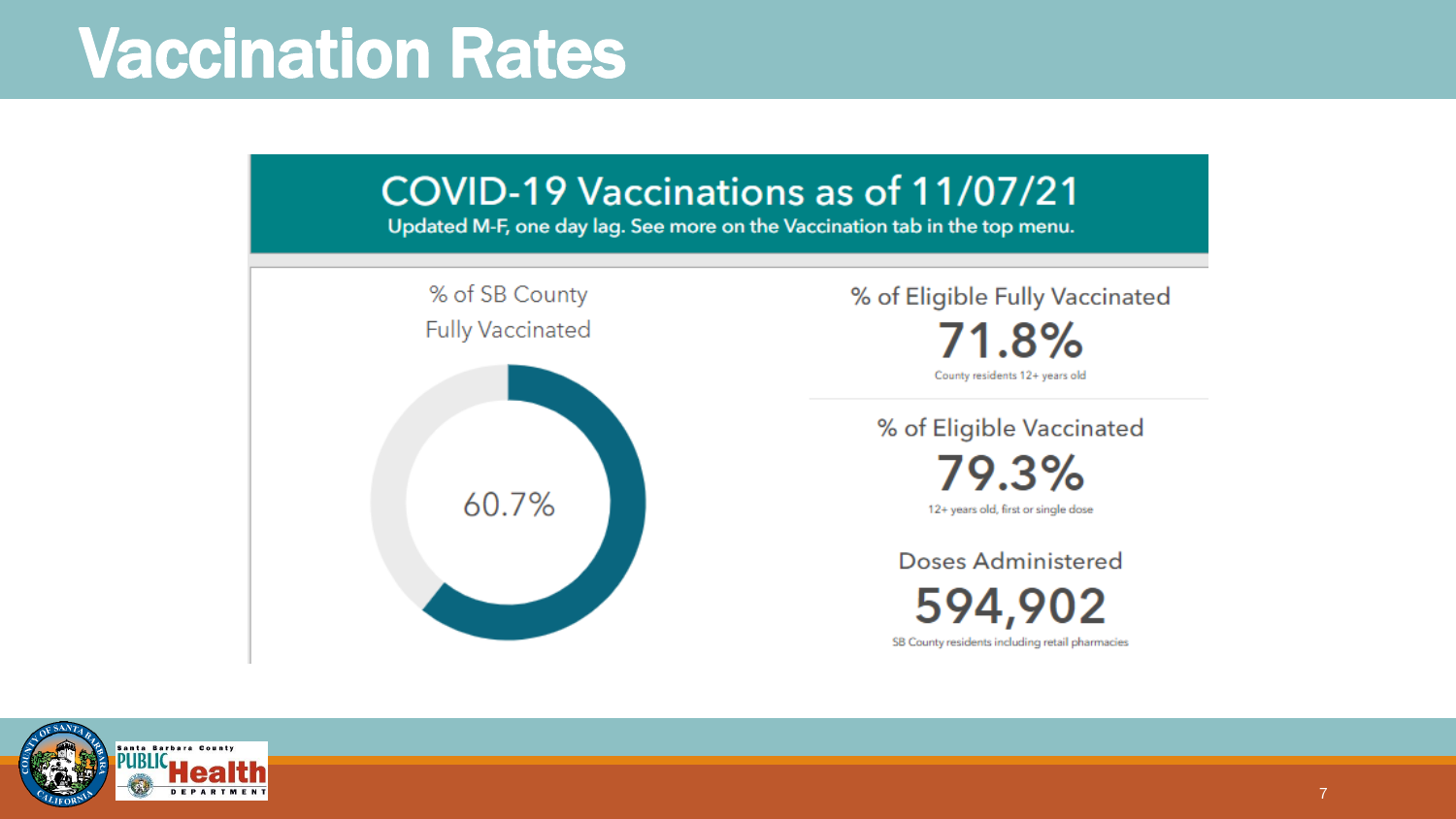#### Vaccination Rates



anta Barbara County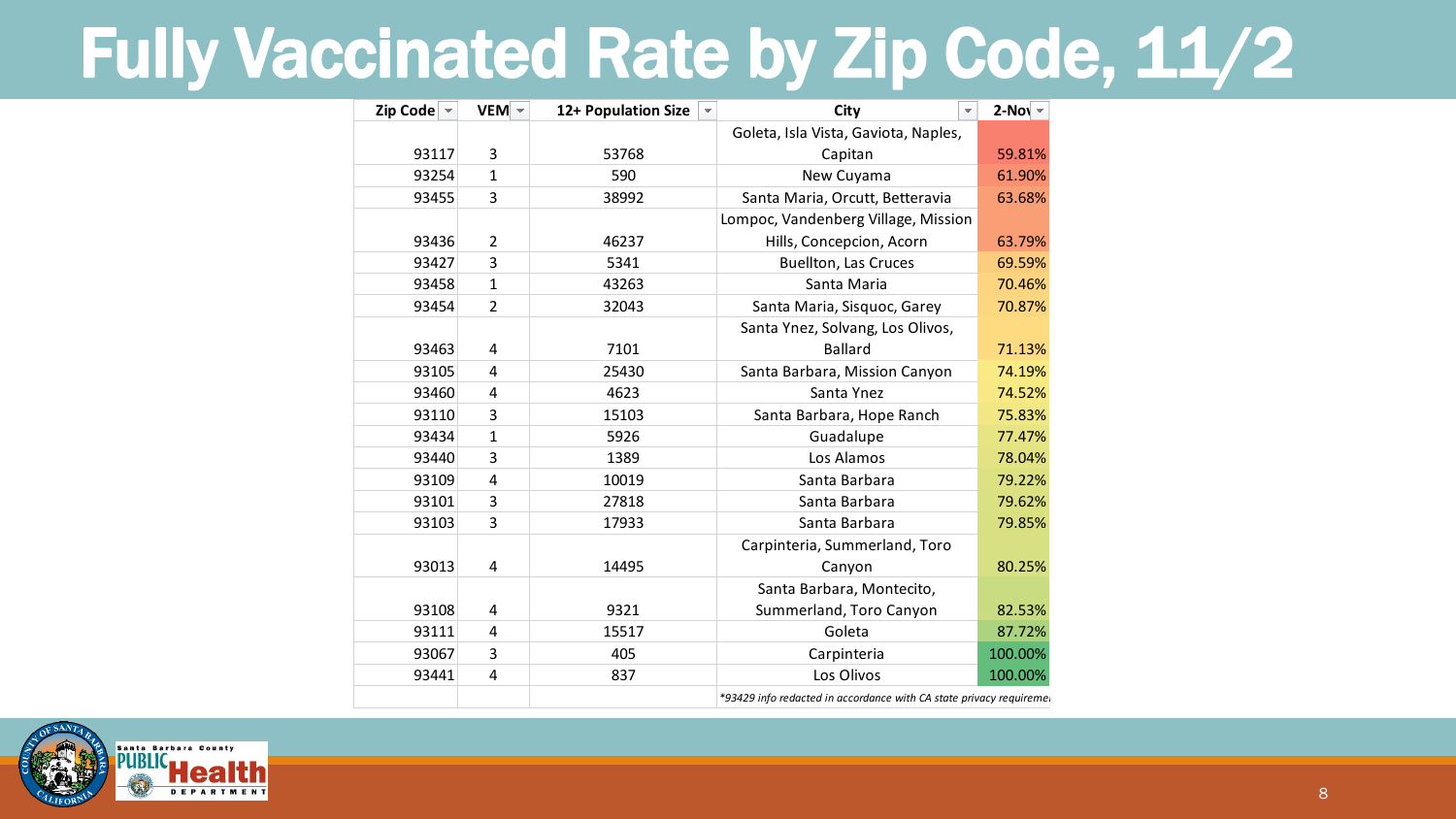#### Fully Vaccinated Rate by Zip Code, 11/2

| Zip Code $\vert \cdot \vert$ | $VEM$ –                 | 12+ Population Size<br>$\overline{\mathbf{v}}$ | City<br>$\overline{\phantom{a}}$                                    | $2-Nov$ |  |
|------------------------------|-------------------------|------------------------------------------------|---------------------------------------------------------------------|---------|--|
|                              |                         |                                                | Goleta, Isla Vista, Gaviota, Naples,                                |         |  |
| 93117                        | 3                       | 53768                                          | Capitan                                                             | 59.81%  |  |
| 93254                        | $\mathbf{1}$            | 590                                            | New Cuyama                                                          | 61.90%  |  |
| 93455                        | 3                       | 38992                                          | Santa Maria, Orcutt, Betteravia                                     | 63.68%  |  |
|                              |                         |                                                | Lompoc, Vandenberg Village, Mission                                 |         |  |
| 93436                        | $\overline{2}$          | 46237                                          | Hills, Concepcion, Acorn                                            | 63.79%  |  |
| 93427                        | 3                       | 5341                                           | <b>Buellton, Las Cruces</b>                                         |         |  |
| 93458                        | $\mathbf{1}$            | 43263                                          | Santa Maria                                                         | 70.46%  |  |
| 93454                        | $\overline{2}$          | 32043                                          | Santa Maria, Sisquoc, Garey                                         | 70.87%  |  |
|                              |                         |                                                | Santa Ynez, Solvang, Los Olivos,                                    |         |  |
| 93463                        | 4                       | 7101                                           | <b>Ballard</b>                                                      | 71.13%  |  |
| 93105                        | 4                       | 25430                                          | Santa Barbara, Mission Canyon                                       | 74.19%  |  |
| 93460                        | $\overline{\mathbf{4}}$ | 4623                                           | Santa Ynez                                                          | 74.52%  |  |
| 93110                        | 3                       | 15103                                          | Santa Barbara, Hope Ranch                                           | 75.83%  |  |
| 93434                        | $\mathbf{1}$            | 5926                                           | Guadalupe                                                           | 77.47%  |  |
| 93440                        | 3                       | 1389                                           | Los Alamos                                                          | 78.04%  |  |
| 93109                        | $\overline{4}$          | 10019                                          | Santa Barbara                                                       | 79.22%  |  |
| 93101                        | 3                       | 27818                                          | Santa Barbara                                                       | 79.62%  |  |
| 93103                        | 3                       | 17933                                          | Santa Barbara                                                       | 79.85%  |  |
|                              |                         |                                                | Carpinteria, Summerland, Toro                                       |         |  |
| 93013                        | 4                       | 14495                                          | Canyon                                                              | 80.25%  |  |
|                              |                         |                                                | Santa Barbara, Montecito,                                           |         |  |
| 93108                        | 4                       | 9321                                           | Summerland, Toro Canyon                                             | 82.53%  |  |
| 93111                        | 4                       | 15517                                          | Goleta                                                              | 87.72%  |  |
| 93067                        | 3                       | 405                                            | Carpinteria                                                         | 100.00% |  |
| 93441                        | 4                       | 837                                            | Los Olivos                                                          | 100.00% |  |
|                              |                         |                                                | *93429 info redacted in accordance with CA state privacy requireme. |         |  |

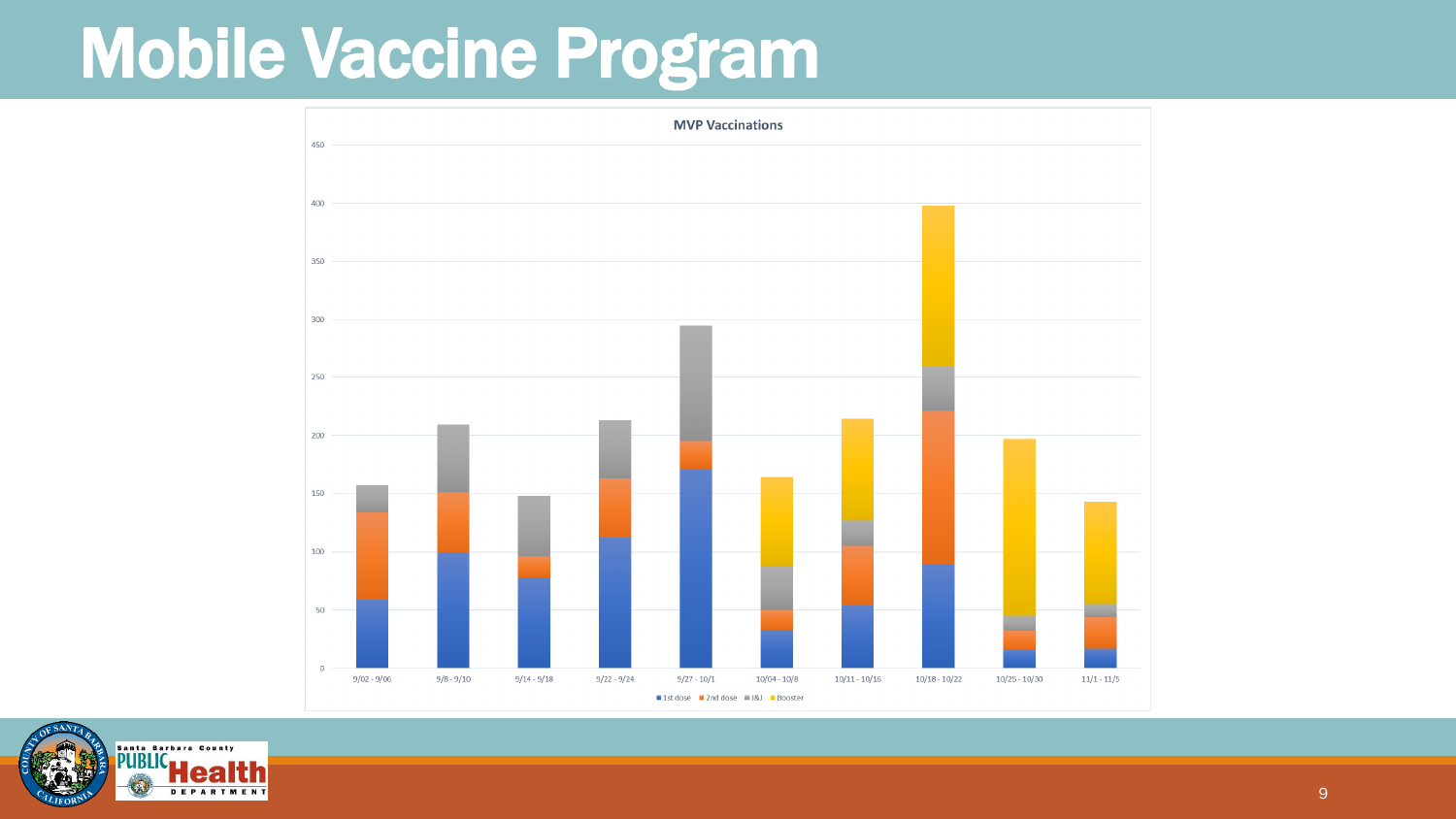#### Mobile Vaccine Program



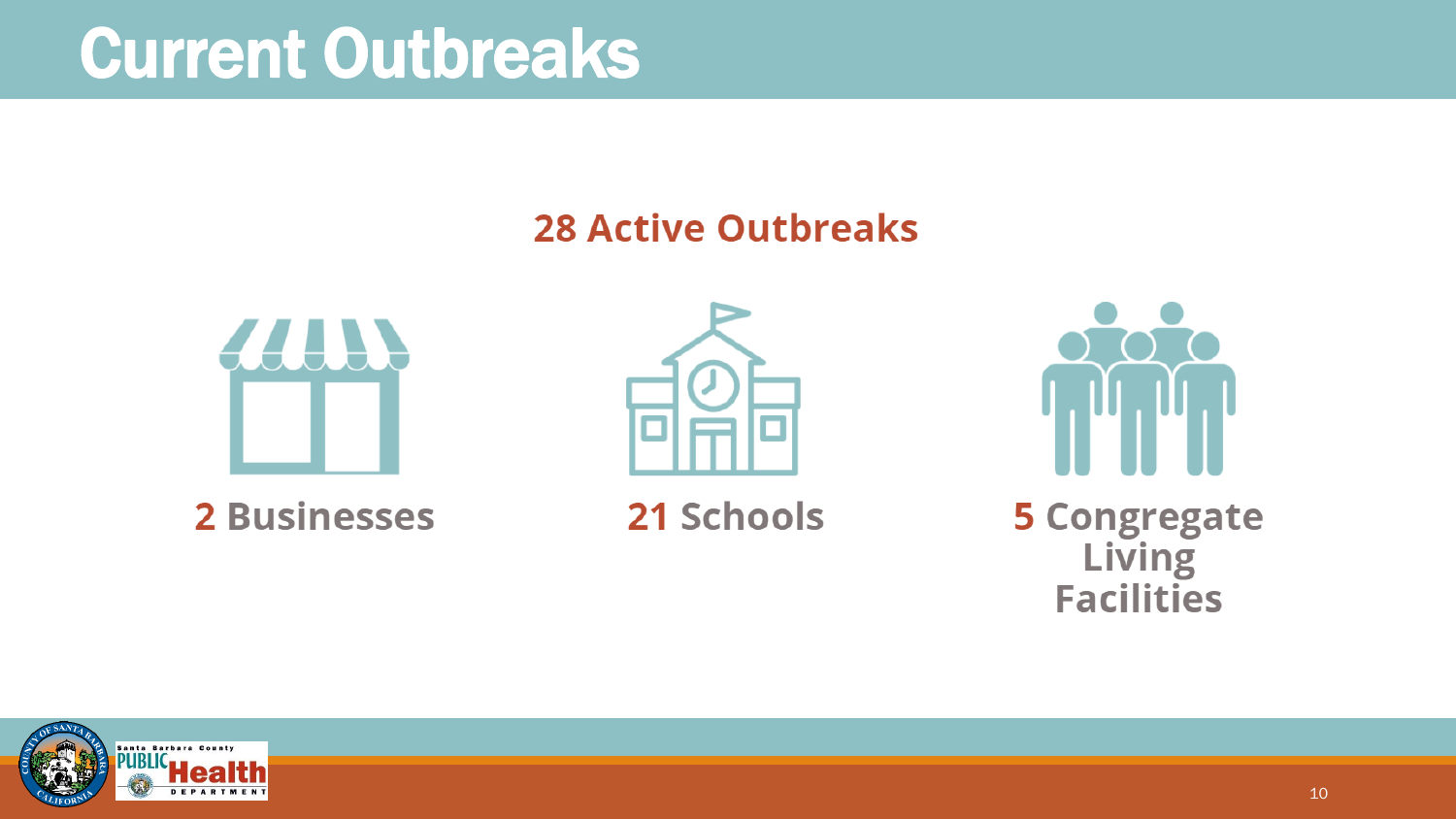#### Current Outbreaks

#### **28 Active Outbreaks**







21 Schools



**5 Congregate** Living **Facilities** 

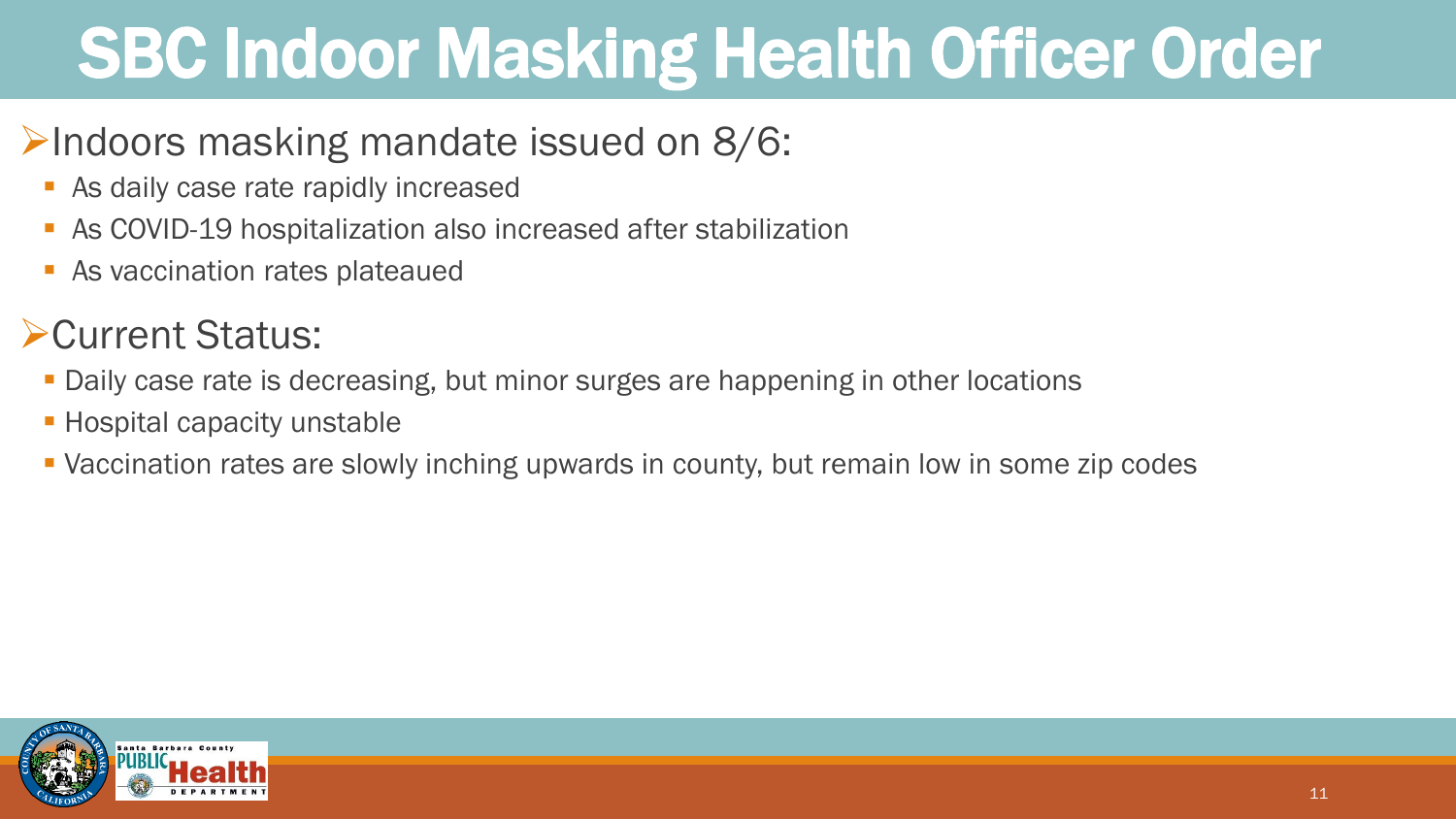### SBC Indoor Masking Health Officer Order

#### $\triangleright$ Indoors masking mandate issued on 8/6:

- As daily case rate rapidly increased
- As COVID-19 hospitalization also increased after stabilization
- As vaccination rates plateaued

#### ➢Current Status:

- **Daily case rate is decreasing, but minor surges are happening in other locations**
- **Exercity** unstable
- Vaccination rates are slowly inching upwards in county, but remain low in some zip codes

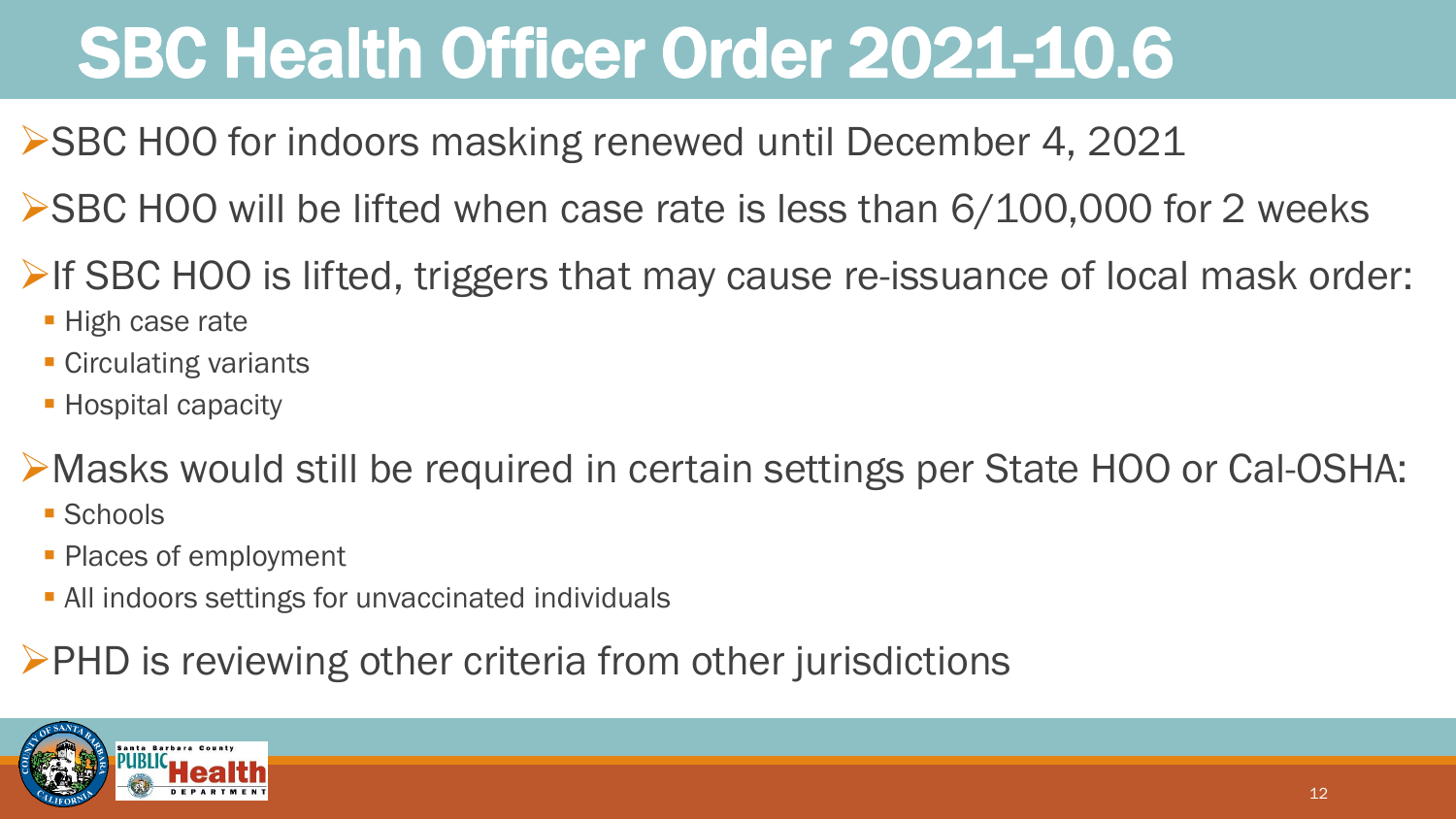### SBC Health Officer Order 2021-10.6

- ➢SBC HOO for indoors masking renewed until December 4, 2021
- ➢SBC HOO will be lifted when case rate is less than 6/100,000 for 2 weeks
- **►If SBC HOO is lifted, triggers that may cause re-issuance of local mask order:** 
	- **High case rate**
	- **E** Circulating variants
	- **Exercise Hospital capacity**
- ➢Masks would still be required in certain settings per State HOO or Cal-OSHA:
	- Schools
	- **Places of employment**
	- **All indoors settings for unvaccinated individuals**
- ➢PHD is reviewing other criteria from other jurisdictions

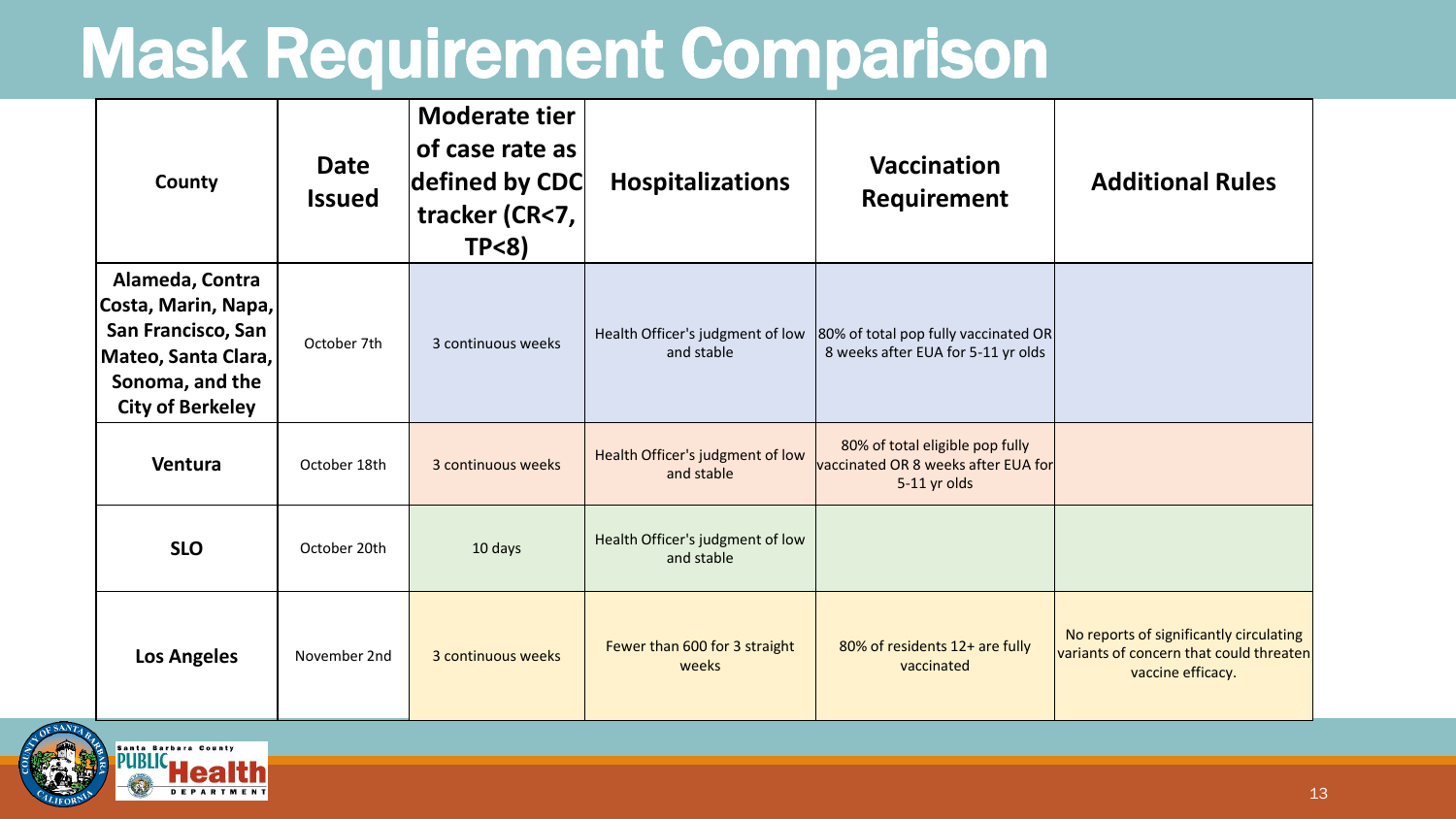#### Mask Requirement Comparison

| County                                                                                                                            | <b>Date</b><br><b>Issued</b> | <b>Moderate tier</b><br>of case rate as<br>defined by CDC<br>tracker (CR<7,<br>$TP < 8$ ) | <b>Hospitalizations</b>                        | Vaccination<br>Requirement                                                             | <b>Additional Rules</b>                                                                                 |
|-----------------------------------------------------------------------------------------------------------------------------------|------------------------------|-------------------------------------------------------------------------------------------|------------------------------------------------|----------------------------------------------------------------------------------------|---------------------------------------------------------------------------------------------------------|
| Alameda, Contra<br>Costa, Marin, Napa,<br>San Francisco, San<br>Mateo, Santa Clara,<br>Sonoma, and the<br><b>City of Berkeley</b> | October 7th                  | 3 continuous weeks                                                                        | Health Officer's judgment of low<br>and stable | 80% of total pop fully vaccinated OR<br>8 weeks after EUA for 5-11 yr olds             |                                                                                                         |
| Ventura                                                                                                                           | October 18th                 | 3 continuous weeks                                                                        | Health Officer's judgment of low<br>and stable | 80% of total eligible pop fully<br>vaccinated OR 8 weeks after EUA for<br>5-11 yr olds |                                                                                                         |
| <b>SLO</b>                                                                                                                        | October 20th                 | 10 days                                                                                   | Health Officer's judgment of low<br>and stable |                                                                                        |                                                                                                         |
| <b>Los Angeles</b>                                                                                                                | November 2nd                 | 3 continuous weeks                                                                        | Fewer than 600 for 3 straight<br>weeks         | 80% of residents 12+ are fully<br>vaccinated                                           | No reports of significantly circulating<br>variants of concern that could threaten<br>vaccine efficacy. |

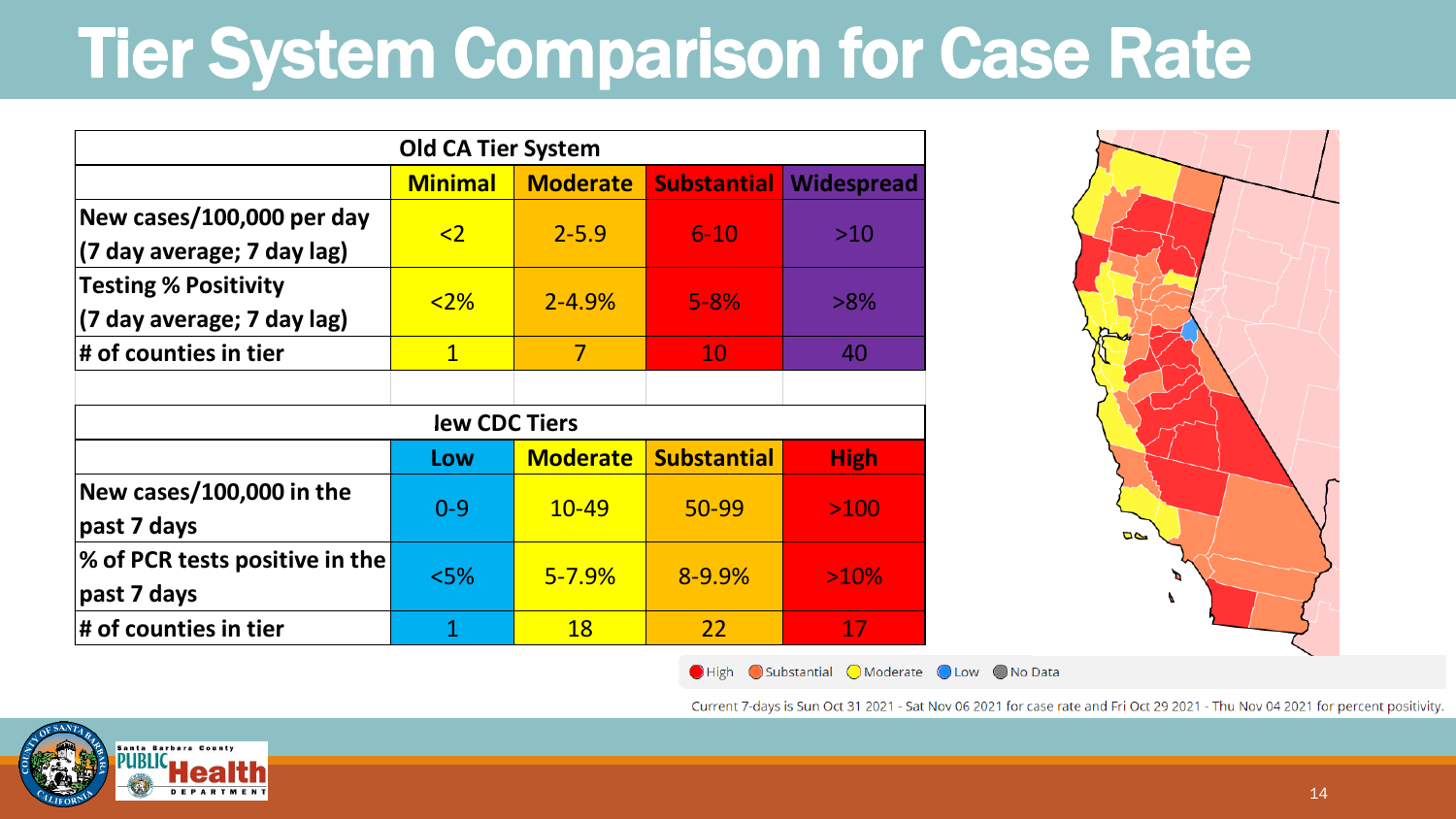### Tier System Comparison for Case Rate

| <b>Old CA Tier System</b>      |                     |                 |                    |             |  |  |
|--------------------------------|---------------------|-----------------|--------------------|-------------|--|--|
|                                | <b>Minimal</b>      | <b>Moderate</b> | <b>Substantial</b> | Widespread  |  |  |
| New cases/100,000 per day      | $\langle 2 \rangle$ | $2 - 5.9$       | $6 - 10$           | $>10$       |  |  |
| (7 day average; 7 day lag)     |                     |                 |                    |             |  |  |
| <b>Testing % Positivity</b>    | $<2\%$              | $2 - 4.9%$      | $5 - 8%$           | $>8\%$      |  |  |
| (7 day average; 7 day lag)     |                     |                 |                    |             |  |  |
| # of counties in tier          | $\mathbf{1}$        | $\overline{7}$  | 10                 | 40          |  |  |
|                                |                     |                 |                    |             |  |  |
| lew CDC Tiers                  |                     |                 |                    |             |  |  |
|                                | Low                 | <b>Moderate</b> | <b>Substantial</b> | <b>High</b> |  |  |
| New cases/100,000 in the       | $0 - 9$             | $10 - 49$       | 50-99              | >100        |  |  |
| past 7 days                    |                     |                 |                    |             |  |  |
| % of PCR tests positive in the | $<$ 5%              | $5 - 7.9%$      | 8-9.9%             | >10%        |  |  |
| past 7 days                    |                     |                 |                    |             |  |  |
| # of counties in tier          | 1                   | <b>18</b>       | 22                 | 17          |  |  |



O High Substantial O Moderate O Low O No Data

Current 7-days is Sun Oct 31 2021 - Sat Nov 06 2021 for case rate and Fri Oct 29 2021 - Thu Nov 04 2021 for percent positivity.